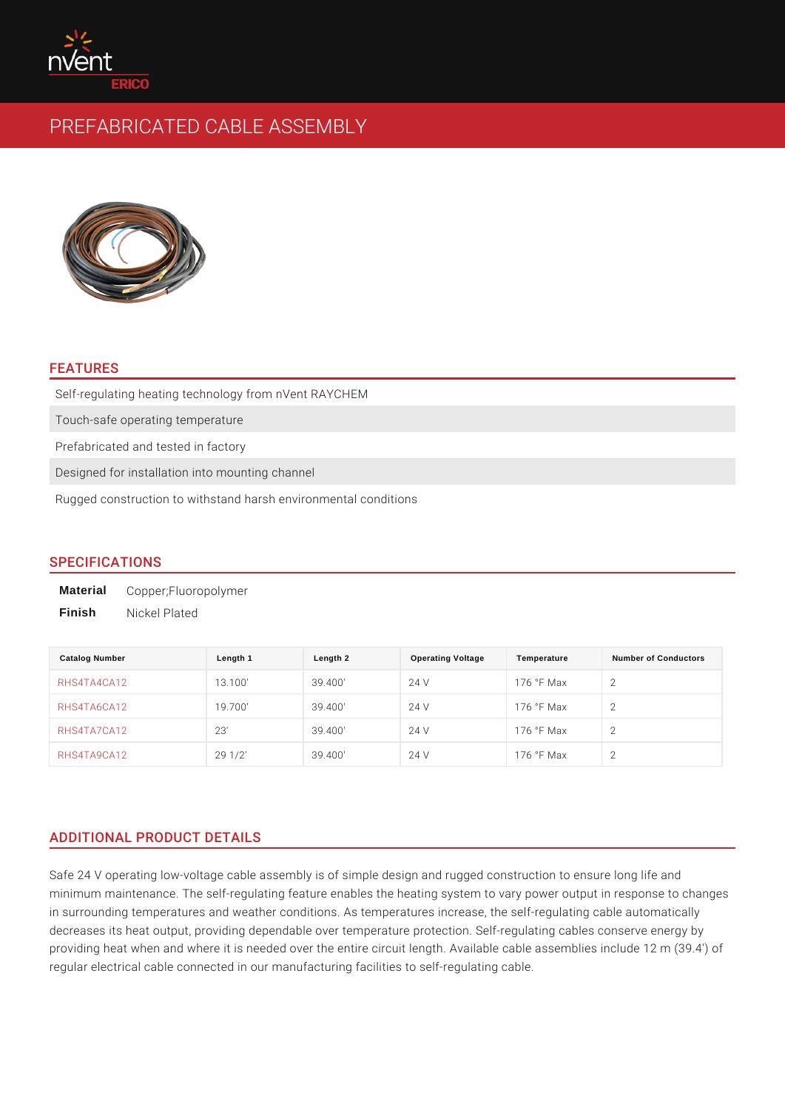# FEATURES

Self-regulating heating technology from nVent RAYCHEM Touch-safe operating temperature Prefabricated and tested in factory Designed for installation into mounting channel Rugged construction to withstand harsh environmental conditions

# SPECIFICATIONS

Material Copper;Fluoropolymer Finish Nickel Plated

| Catalog Number          | Length 1 | Length 2 | <b>Operating Voltage</b> | Temperature    | Number of Conductors |
|-------------------------|----------|----------|--------------------------|----------------|----------------------|
| RHS4TA4CA12             | 13.100'  | 39.400'  | 24 V                     | $176$ °F Max 2 |                      |
| RHS4TA6CA12             | 19.700'  | 39.400'  | 24 V                     | $176$ °F Max 2 |                      |
| RHS4TA7CA12             | 23'      | 39.400'  | 24 V                     | $176$ °F Max 2 |                      |
| $R$ H S 4 T A 9 C A 1 2 | 291/2'   | 39.400'  | 24 V                     | $176$ °F Max 2 |                      |

# ADDITIONAL PRODUCT DETAILS

Safe 24 V operating low-voltage cable assembly is of simple design and rugged on minimum maintenance. The self-regulating feature enables the heating system to in surrounding temperatures and weather conditions. As temperatures increase, decreases its heat output, providing dependable over temperature protection. Se providing heat when and where it is needed over the entire circuit length. Availa regular electrical cable connected in our manufacturing facilities to self-regulat